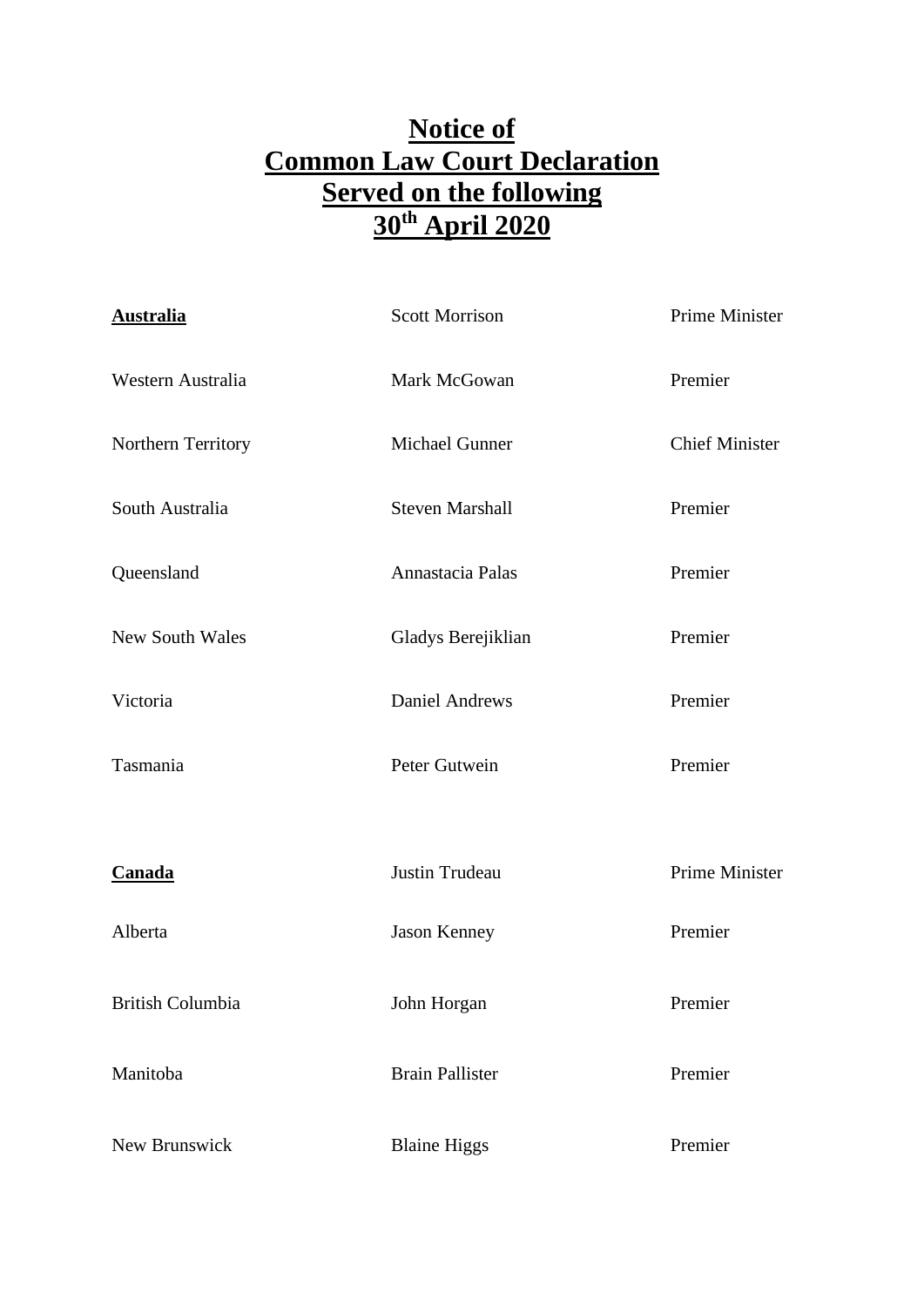## **Notice of Common Law Court Declaration Served on the following 30th April 2020**

| <b>Australia</b>       | <b>Scott Morrison</b>  | Prime Minister        |
|------------------------|------------------------|-----------------------|
| Western Australia      | Mark McGowan           | Premier               |
| Northern Territory     | Michael Gunner         | <b>Chief Minister</b> |
| South Australia        | <b>Steven Marshall</b> | Premier               |
| Queensland             | Annastacia Palas       | Premier               |
| <b>New South Wales</b> | Gladys Berejiklian     | Premier               |
| Victoria               | <b>Daniel Andrews</b>  | Premier               |
| Tasmania               | Peter Gutwein          | Premier               |
|                        |                        |                       |
| Canada                 | Justin Trudeau         | Prime Minister        |
| Alberta                | Jason Kenney           | Premier               |
| British Columbia       | John Horgan            | Premier               |
| Manitoba               | <b>Brain Pallister</b> | Premier               |
| New Brunswick          | <b>Blaine Higgs</b>    | Premier               |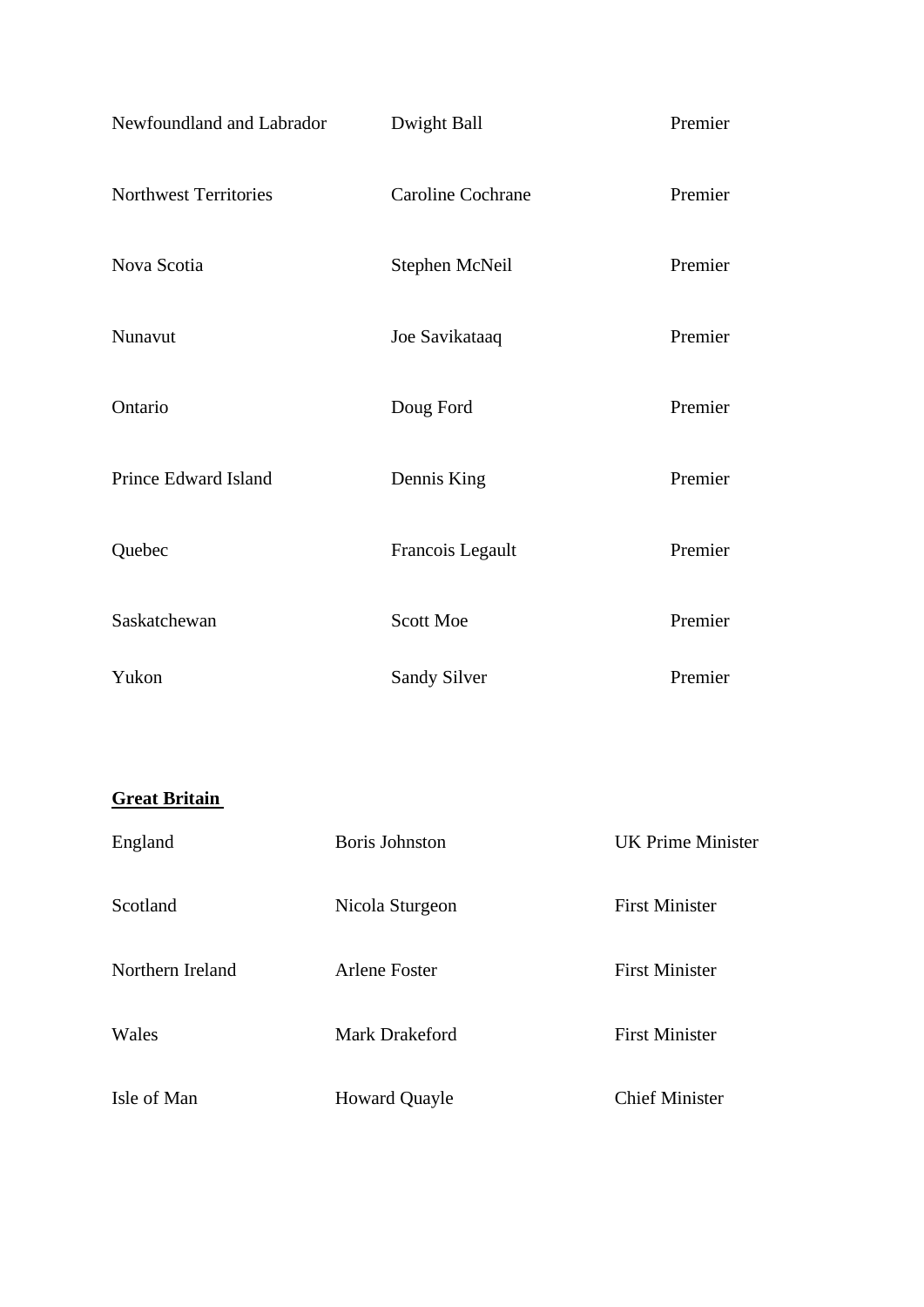| Newfoundland and Labrador    | Dwight Ball         | Premier |
|------------------------------|---------------------|---------|
| <b>Northwest Territories</b> | Caroline Cochrane   | Premier |
| Nova Scotia                  | Stephen McNeil      | Premier |
| Nunavut                      | Joe Savikataaq      | Premier |
| Ontario                      | Doug Ford           | Premier |
| Prince Edward Island         | Dennis King         | Premier |
| Quebec                       | Francois Legault    | Premier |
| Saskatchewan                 | Scott Moe           | Premier |
| Yukon                        | <b>Sandy Silver</b> | Premier |

## **Great Britain**

| England          | <b>Boris Johnston</b> | UK Prime Minister     |
|------------------|-----------------------|-----------------------|
| Scotland         | Nicola Sturgeon       | <b>First Minister</b> |
| Northern Ireland | Arlene Foster         | <b>First Minister</b> |
| Wales            | <b>Mark Drakeford</b> | <b>First Minister</b> |
| Isle of Man      | <b>Howard Quayle</b>  | <b>Chief Minister</b> |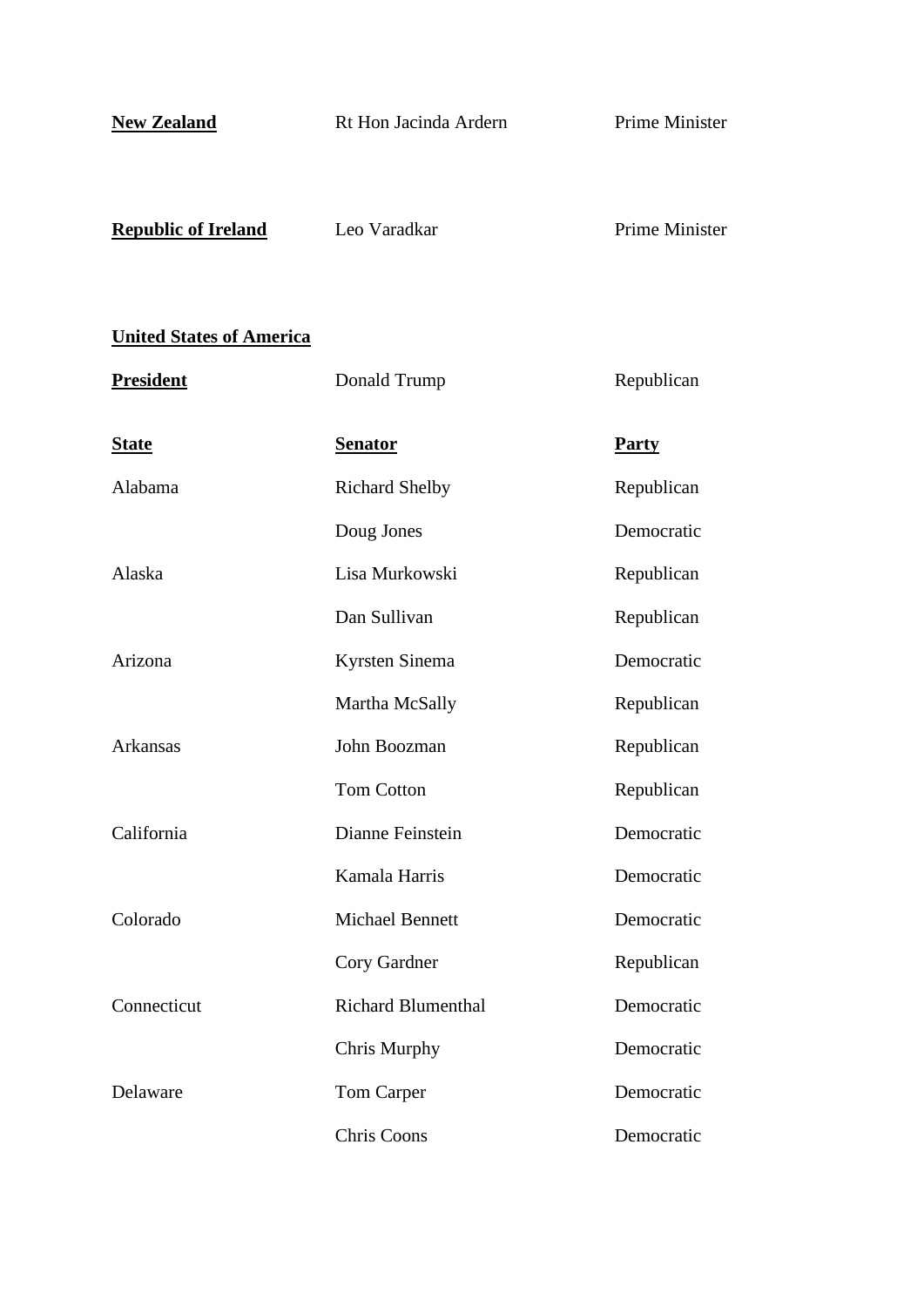| <b>New Zealand</b>              | Rt Hon Jacinda Ardern     | <b>Prime Minister</b> |
|---------------------------------|---------------------------|-----------------------|
| <b>Republic of Ireland</b>      | Leo Varadkar              | <b>Prime Minister</b> |
| <b>United States of America</b> |                           |                       |
| <b>President</b>                | Donald Trump              | Republican            |
| <b>State</b>                    | <b>Senator</b>            | <b>Party</b>          |
| Alabama                         | <b>Richard Shelby</b>     | Republican            |
|                                 | Doug Jones                | Democratic            |
| Alaska                          | Lisa Murkowski            | Republican            |
|                                 | Dan Sullivan              | Republican            |
| Arizona                         | Kyrsten Sinema            | Democratic            |
|                                 | Martha McSally            | Republican            |
| Arkansas                        | John Boozman              | Republican            |
|                                 | <b>Tom Cotton</b>         | Republican            |
| California                      | Dianne Feinstein          | Democratic            |
|                                 | Kamala Harris             | Democratic            |
| Colorado                        | <b>Michael Bennett</b>    | Democratic            |
|                                 | Cory Gardner              | Republican            |
| Connecticut                     | <b>Richard Blumenthal</b> | Democratic            |
|                                 | Chris Murphy              | Democratic            |
| Delaware                        | Tom Carper                | Democratic            |
|                                 | <b>Chris Coons</b>        | Democratic            |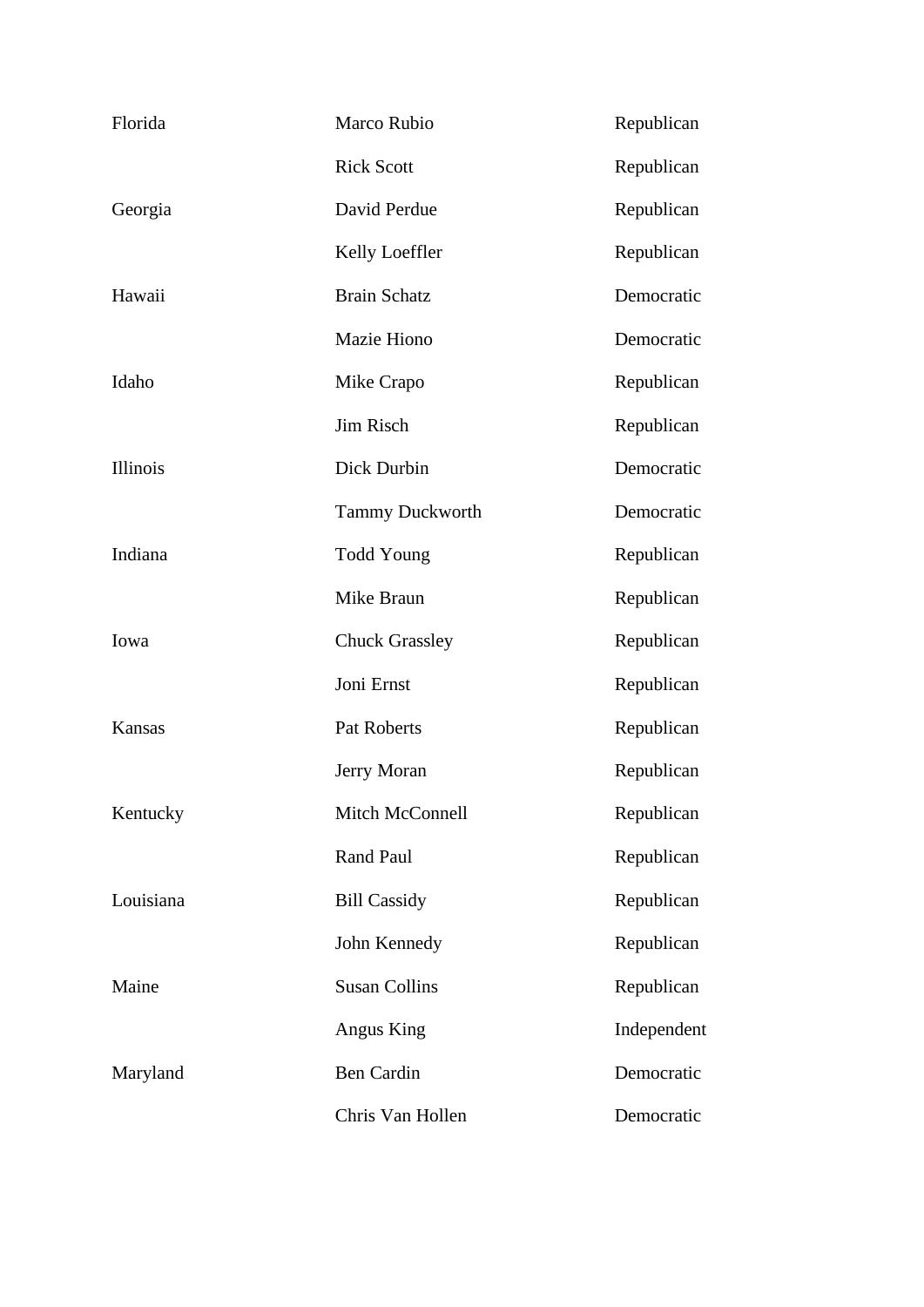| Florida   | Marco Rubio            | Republican  |
|-----------|------------------------|-------------|
|           | <b>Rick Scott</b>      | Republican  |
| Georgia   | David Perdue           | Republican  |
|           | Kelly Loeffler         | Republican  |
| Hawaii    | <b>Brain Schatz</b>    | Democratic  |
|           | Mazie Hiono            | Democratic  |
| Idaho     | Mike Crapo             | Republican  |
|           | Jim Risch              | Republican  |
| Illinois  | Dick Durbin            | Democratic  |
|           | <b>Tammy Duckworth</b> | Democratic  |
| Indiana   | <b>Todd Young</b>      | Republican  |
|           | Mike Braun             | Republican  |
| Iowa      | <b>Chuck Grassley</b>  | Republican  |
|           | Joni Ernst             | Republican  |
| Kansas    | Pat Roberts            | Republican  |
|           | Jerry Moran            | Republican  |
| Kentucky  | Mitch McConnell        | Republican  |
|           | Rand Paul              | Republican  |
| Louisiana | <b>Bill Cassidy</b>    | Republican  |
|           | John Kennedy           | Republican  |
| Maine     | <b>Susan Collins</b>   | Republican  |
|           | Angus King             | Independent |
| Maryland  | Ben Cardin             | Democratic  |
|           | Chris Van Hollen       | Democratic  |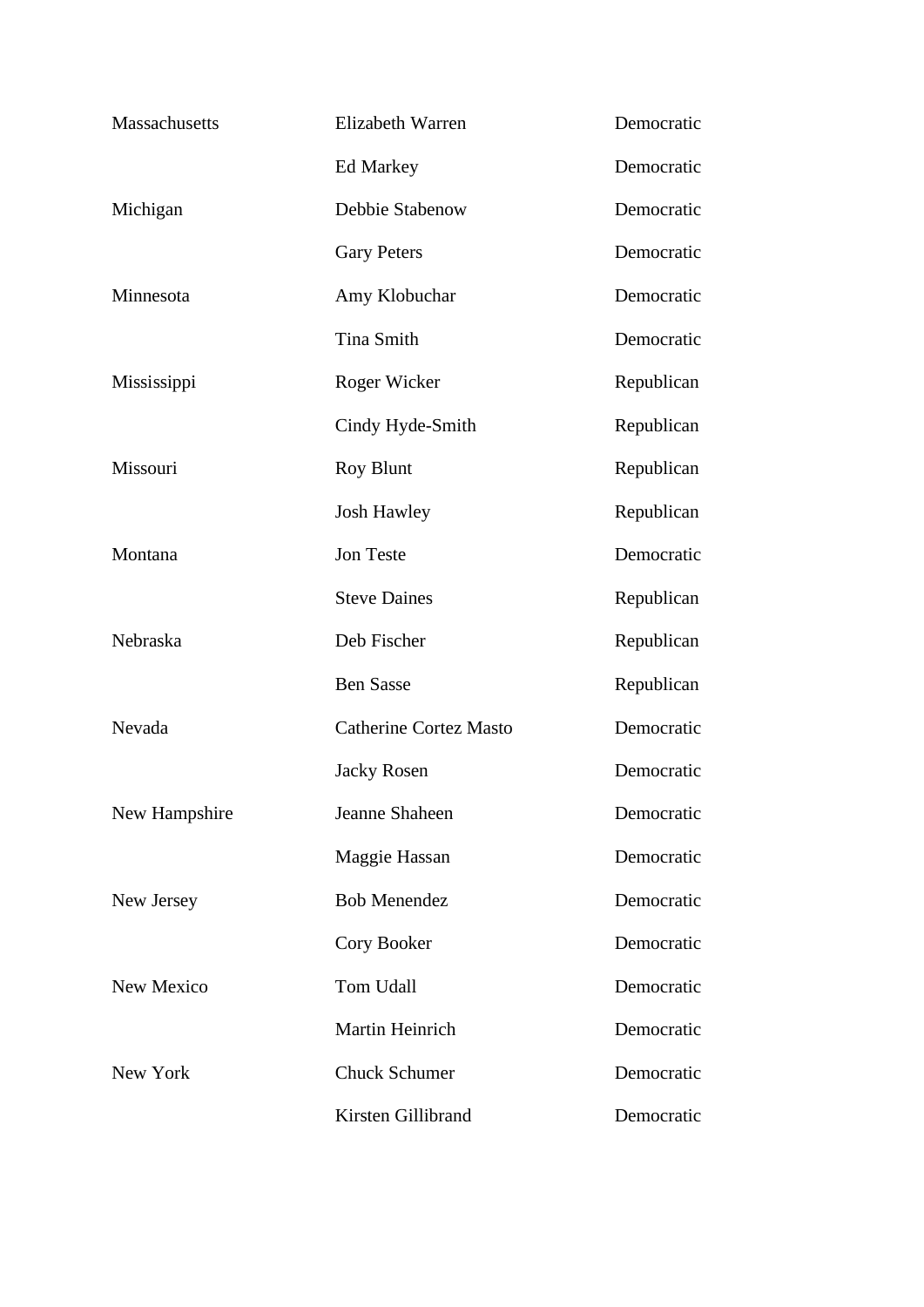| Massachusetts | Elizabeth Warren              | Democratic |
|---------------|-------------------------------|------------|
|               | Ed Markey                     | Democratic |
| Michigan      | Debbie Stabenow               | Democratic |
|               | <b>Gary Peters</b>            | Democratic |
| Minnesota     | Amy Klobuchar                 | Democratic |
|               | Tina Smith                    | Democratic |
| Mississippi   | Roger Wicker                  | Republican |
|               | Cindy Hyde-Smith              | Republican |
| Missouri      | Roy Blunt                     | Republican |
|               | <b>Josh Hawley</b>            | Republican |
| Montana       | Jon Teste                     | Democratic |
|               | <b>Steve Daines</b>           | Republican |
| Nebraska      | Deb Fischer                   | Republican |
|               | <b>Ben Sasse</b>              | Republican |
| Nevada        | <b>Catherine Cortez Masto</b> | Democratic |
|               | <b>Jacky Rosen</b>            | Democratic |
| New Hampshire | Jeanne Shaheen                | Democratic |
|               | Maggie Hassan                 | Democratic |
| New Jersey    | <b>Bob Menendez</b>           | Democratic |
|               | Cory Booker                   | Democratic |
| New Mexico    | Tom Udall                     | Democratic |
|               | Martin Heinrich               | Democratic |
| New York      | <b>Chuck Schumer</b>          | Democratic |
|               | Kirsten Gillibrand            | Democratic |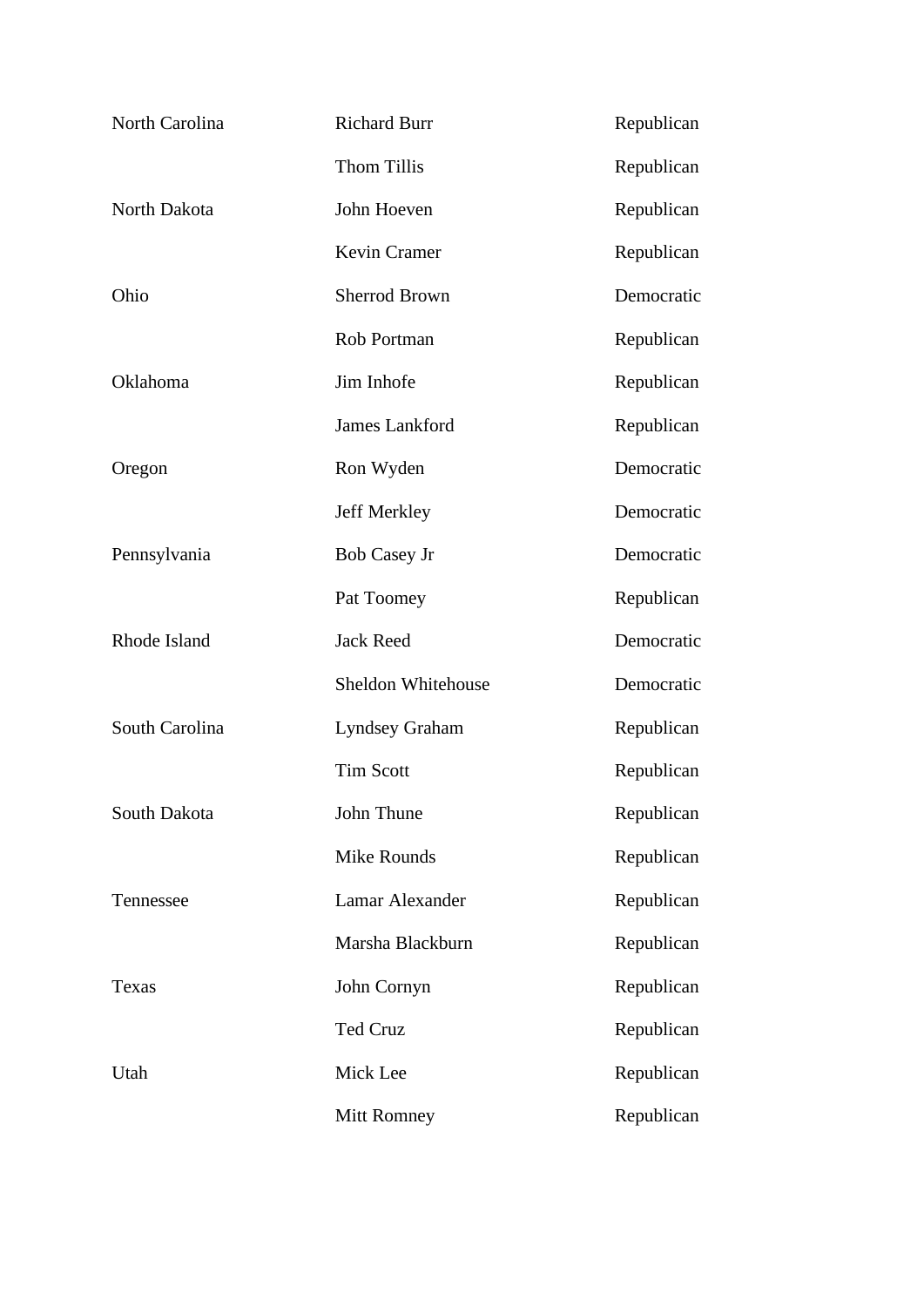| North Carolina | <b>Richard Burr</b>   | Republican |
|----------------|-----------------------|------------|
|                | Thom Tillis           | Republican |
| North Dakota   | John Hoeven           | Republican |
|                | Kevin Cramer          | Republican |
| Ohio           | <b>Sherrod Brown</b>  | Democratic |
|                | Rob Portman           | Republican |
| Oklahoma       | Jim Inhofe            | Republican |
|                | <b>James Lankford</b> | Republican |
| Oregon         | Ron Wyden             | Democratic |
|                | Jeff Merkley          | Democratic |
| Pennsylvania   | <b>Bob Casey Jr</b>   | Democratic |
|                | Pat Toomey            | Republican |
| Rhode Island   | <b>Jack Reed</b>      | Democratic |
|                | Sheldon Whitehouse    | Democratic |
| South Carolina | <b>Lyndsey Graham</b> | Republican |
|                | <b>Tim Scott</b>      | Republican |
| South Dakota   | John Thune            | Republican |
|                | Mike Rounds           | Republican |
| Tennessee      | Lamar Alexander       | Republican |
|                | Marsha Blackburn      | Republican |
| Texas          | John Cornyn           | Republican |
|                | Ted Cruz              | Republican |
| Utah           | Mick Lee              | Republican |
|                | Mitt Romney           | Republican |